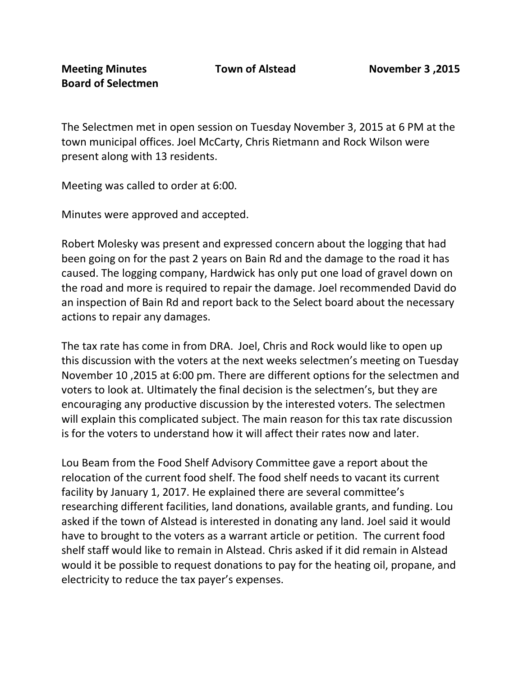The Selectmen met in open session on Tuesday November 3, 2015 at 6 PM at the town municipal offices. Joel McCarty, Chris Rietmann and Rock Wilson were present along with 13 residents.

Meeting was called to order at 6:00.

Minutes were approved and accepted.

Robert Molesky was present and expressed concern about the logging that had been going on for the past 2 years on Bain Rd and the damage to the road it has caused. The logging company, Hardwick has only put one load of gravel down on the road and more is required to repair the damage. Joel recommended David do an inspection of Bain Rd and report back to the Select board about the necessary actions to repair any damages.

The tax rate has come in from DRA. Joel, Chris and Rock would like to open up this discussion with the voters at the next weeks selectmen's meeting on Tuesday November 10 ,2015 at 6:00 pm. There are different options for the selectmen and voters to look at. Ultimately the final decision is the selectmen's, but they are encouraging any productive discussion by the interested voters. The selectmen will explain this complicated subject. The main reason for this tax rate discussion is for the voters to understand how it will affect their rates now and later.

Lou Beam from the Food Shelf Advisory Committee gave a report about the relocation of the current food shelf. The food shelf needs to vacant its current facility by January 1, 2017. He explained there are several committee's researching different facilities, land donations, available grants, and funding. Lou asked if the town of Alstead is interested in donating any land. Joel said it would have to brought to the voters as a warrant article or petition. The current food shelf staff would like to remain in Alstead. Chris asked if it did remain in Alstead would it be possible to request donations to pay for the heating oil, propane, and electricity to reduce the tax payer's expenses.